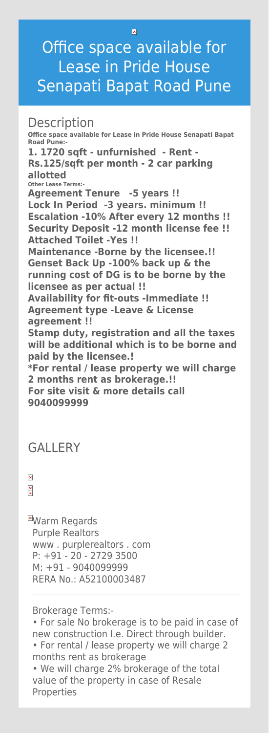# Office space available for Lease in Pride House Senapati Bapat Road Pune

## **Description**

**Office space available for Lease in Pride House Senapati Bapat Road Pune:-**

**1. 1720 sqft - unfurnished - Rent - Rs.125/sqft per month - 2 car parking allotted** 

**Other Lease Terms:-**

**EWarm Regards** Purple Realtors www . purplerealtors . com P: +91 - 20 - 2729 3500 M: +91 - 9040099999 RERA No.: A52100003487

**Agreement Tenure -5 years !! Lock In Period -3 years. minimum !! Escalation -10% After every 12 months !! Security Deposit -12 month license fee !! Attached Toilet -Yes !! Maintenance -Borne by the licensee.!! Genset Back Up -100% back up & the running cost of DG is to be borne by the licensee as per actual !! Availability for fit-outs -Immediate !! Agreement type -Leave & License agreement !! Stamp duty, registration and all the taxes will be additional which is to be borne and paid by the licensee.! \*For rental / lease property we will charge 2 months rent as brokerage.!!**

### **For site visit & more details call 9040099999**

### **GALLERY**

 $\pmb{\times}$  $\frac{x}{x}$ 

Brokerage Terms:-

• For sale No brokerage is to be paid in case of new construction I.e. Direct through builder.

• For rental / lease property we will charge 2 months rent as brokerage

• We will charge 2% brokerage of the total value of the property in case of Resale Properties